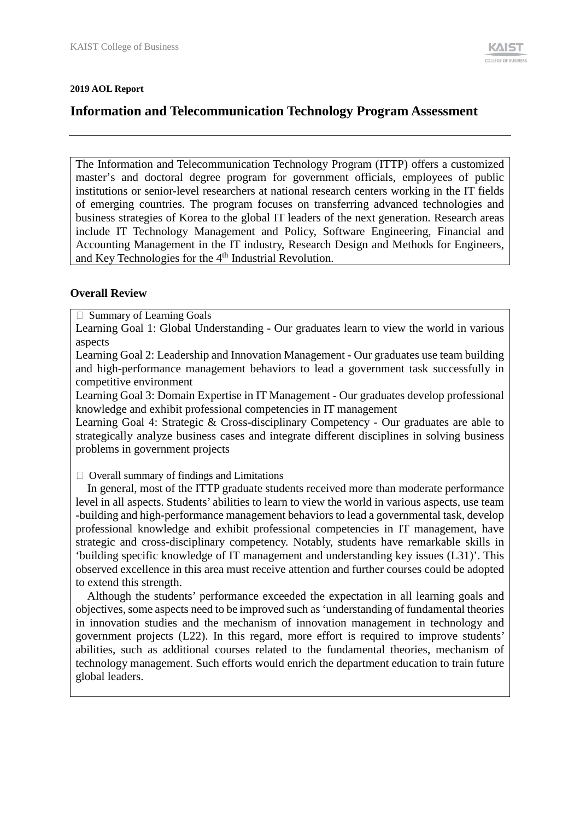#### **2019 AOL Report**

# **Information and Telecommunication Technology Program Assessment**

The Information and Telecommunication Technology Program (ITTP) offers a customized master's and doctoral degree program for government officials, employees of public institutions or senior-level researchers at national research centers working in the IT fields of emerging countries. The program focuses on transferring advanced technologies and business strategies of Korea to the global IT leaders of the next generation. Research areas include IT Technology Management and Policy, Software Engineering, Financial and Accounting Management in the IT industry, Research Design and Methods for Engineers, and Key Technologies for the 4<sup>th</sup> Industrial Revolution.

## **Overall Review**

□ Summary of Learning Goals

Learning Goal 1: Global Understanding - Our graduates learn to view the world in various aspects

Learning Goal 2: Leadership and Innovation Management - Our graduates use team building and high-performance management behaviors to lead a government task successfully in competitive environment

Learning Goal 3: Domain Expertise in IT Management - Our graduates develop professional knowledge and exhibit professional competencies in IT management

Learning Goal 4: Strategic & Cross-disciplinary Competency - Our graduates are able to strategically analyze business cases and integrate different disciplines in solving business problems in government projects

 $\Box$  Overall summary of findings and Limitations

In general, most of the ITTP graduate students received more than moderate performance level in all aspects. Students' abilities to learn to view the world in various aspects, use team -building and high-performance management behaviors to lead a governmental task, develop professional knowledge and exhibit professional competencies in IT management, have strategic and cross-disciplinary competency. Notably, students have remarkable skills in 'building specific knowledge of IT management and understanding key issues (L31)'. This observed excellence in this area must receive attention and further courses could be adopted to extend this strength.

Although the students' performance exceeded the expectation in all learning goals and objectives, some aspects need to be improved such as 'understanding of fundamental theories in innovation studies and the mechanism of innovation management in technology and government projects (L22). In this regard, more effort is required to improve students' abilities, such as additional courses related to the fundamental theories, mechanism of technology management. Such efforts would enrich the department education to train future global leaders.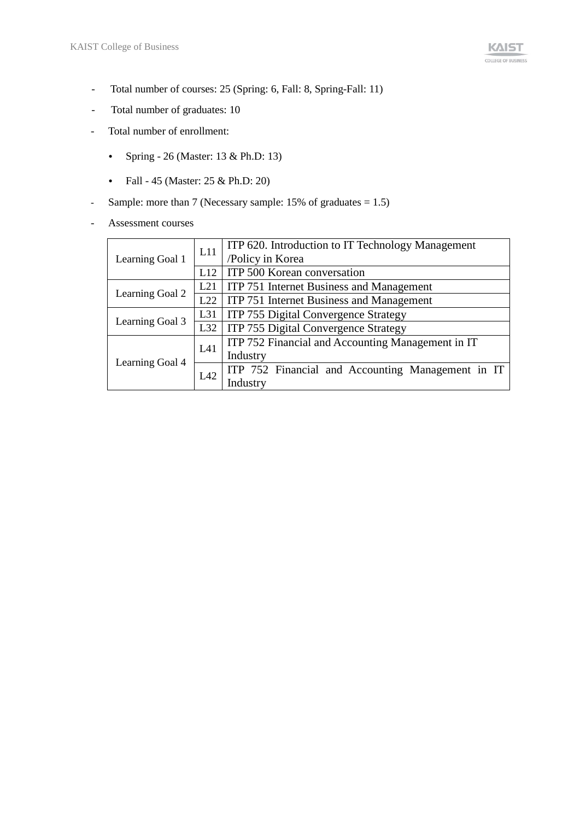- Total number of courses: 25 (Spring: 6, Fall: 8, Spring-Fall: 11)
- Total number of graduates: 10
- Total number of enrollment:
	- Spring 26 (Master: 13 & Ph.D: 13)
	- Fall 45 (Master: 25 & Ph.D: 20)
- Sample: more than 7 (Necessary sample: 15% of graduates = 1.5)
- Assessment courses

|                 | L11 | ITP 620. Introduction to IT Technology Management |  |  |
|-----------------|-----|---------------------------------------------------|--|--|
| Learning Goal 1 |     | /Policy in Korea                                  |  |  |
|                 | L12 | ITP 500 Korean conversation                       |  |  |
|                 | L21 | ITP 751 Internet Business and Management          |  |  |
| Learning Goal 2 | L22 | ITP 751 Internet Business and Management          |  |  |
|                 | L31 | ITP 755 Digital Convergence Strategy              |  |  |
| Learning Goal 3 | L32 | ITP 755 Digital Convergence Strategy              |  |  |
|                 | L41 | ITP 752 Financial and Accounting Management in IT |  |  |
| Learning Goal 4 |     | Industry                                          |  |  |
|                 | L42 | ITP 752 Financial and Accounting Management in IT |  |  |
|                 |     | Industry                                          |  |  |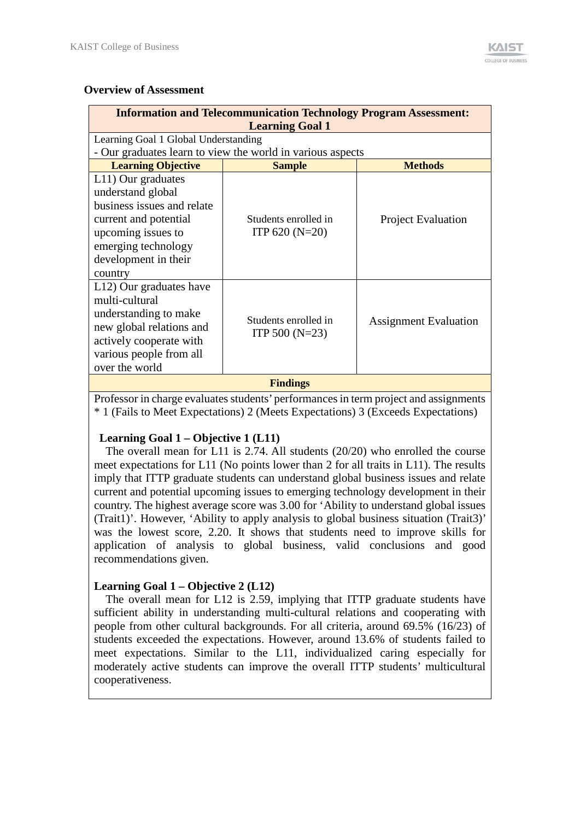## **Overview of Assessment**

| <b>Information and Telecommunication Technology Program Assessment:</b>                                                                                                        |                                                            |                              |  |  |  |  |
|--------------------------------------------------------------------------------------------------------------------------------------------------------------------------------|------------------------------------------------------------|------------------------------|--|--|--|--|
| <b>Learning Goal 1</b>                                                                                                                                                         |                                                            |                              |  |  |  |  |
| Learning Goal 1 Global Understanding                                                                                                                                           |                                                            |                              |  |  |  |  |
|                                                                                                                                                                                | - Our graduates learn to view the world in various aspects |                              |  |  |  |  |
| <b>Learning Objective</b>                                                                                                                                                      | <b>Sample</b>                                              | <b>Methods</b>               |  |  |  |  |
| L11) Our graduates<br>understand global<br>business issues and relate<br>current and potential<br>upcoming issues to<br>emerging technology<br>development in their<br>country | Students enrolled in<br>ITP $620(N=20)$                    | <b>Project Evaluation</b>    |  |  |  |  |
| L12) Our graduates have<br>multi-cultural<br>understanding to make<br>new global relations and<br>actively cooperate with<br>various people from all<br>over the world         | Students enrolled in<br>ITP 500 $(N=23)$                   | <b>Assignment Evaluation</b> |  |  |  |  |
|                                                                                                                                                                                | <b>Findings</b>                                            |                              |  |  |  |  |

Professor in charge evaluates students' performances in term project and assignments \* 1 (Fails to Meet Expectations) 2 (Meets Expectations) 3 (Exceeds Expectations)

## **Learning Goal 1 – Objective 1 (L11)**

The overall mean for L11 is 2.74. All students (20/20) who enrolled the course meet expectations for L11 (No points lower than 2 for all traits in L11). The results imply that ITTP graduate students can understand global business issues and relate current and potential upcoming issues to emerging technology development in their country. The highest average score was 3.00 for 'Ability to understand global issues (Trait1)'. However, 'Ability to apply analysis to global business situation (Trait3)' was the lowest score, 2.20. It shows that students need to improve skills for application of analysis to global business, valid conclusions and good recommendations given.

## **Learning Goal 1 – Objective 2 (L12)**

The overall mean for L12 is 2.59, implying that ITTP graduate students have sufficient ability in understanding multi-cultural relations and cooperating with people from other cultural backgrounds. For all criteria, around 69.5% (16/23) of students exceeded the expectations. However, around 13.6% of students failed to meet expectations. Similar to the L11, individualized caring especially for moderately active students can improve the overall ITTP students' multicultural cooperativeness.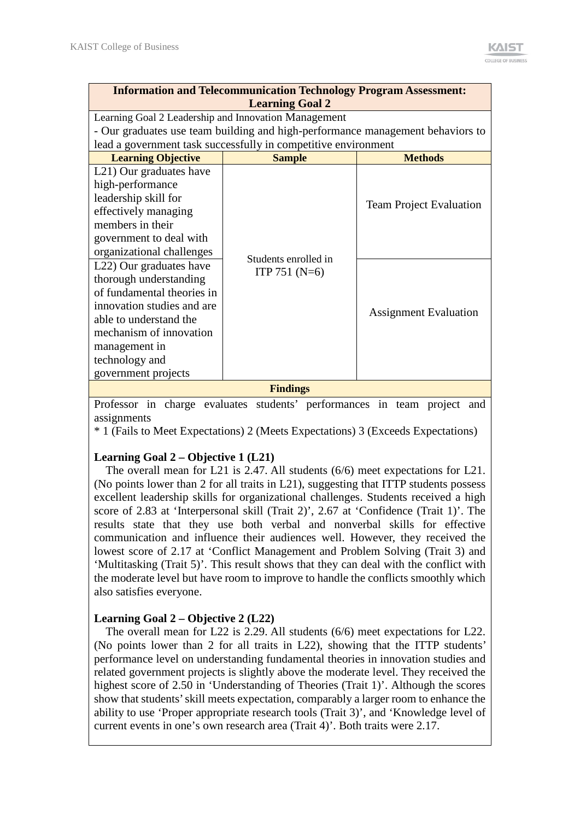| <b>Information and Telecommunication Technology Program Assessment:</b><br><b>Learning Goal 2</b> |                                                                                |                                |  |  |  |  |  |
|---------------------------------------------------------------------------------------------------|--------------------------------------------------------------------------------|--------------------------------|--|--|--|--|--|
|                                                                                                   | Learning Goal 2 Leadership and Innovation Management                           |                                |  |  |  |  |  |
|                                                                                                   | - Our graduates use team building and high-performance management behaviors to |                                |  |  |  |  |  |
|                                                                                                   | lead a government task successfully in competitive environment                 |                                |  |  |  |  |  |
| <b>Learning Objective</b>                                                                         | <b>Sample</b>                                                                  | <b>Methods</b>                 |  |  |  |  |  |
| L <sub>21</sub> ) Our graduates have                                                              |                                                                                |                                |  |  |  |  |  |
| high-performance                                                                                  |                                                                                |                                |  |  |  |  |  |
| leadership skill for                                                                              |                                                                                |                                |  |  |  |  |  |
| effectively managing                                                                              |                                                                                | <b>Team Project Evaluation</b> |  |  |  |  |  |
| members in their                                                                                  |                                                                                |                                |  |  |  |  |  |
| government to deal with                                                                           |                                                                                |                                |  |  |  |  |  |
| organizational challenges                                                                         | Students enrolled in                                                           |                                |  |  |  |  |  |
| L22) Our graduates have                                                                           |                                                                                |                                |  |  |  |  |  |
| thorough understanding                                                                            | ITP 751 $(N=6)$                                                                |                                |  |  |  |  |  |
| of fundamental theories in                                                                        |                                                                                |                                |  |  |  |  |  |
| innovation studies and are                                                                        |                                                                                | <b>Assignment Evaluation</b>   |  |  |  |  |  |
| able to understand the                                                                            |                                                                                |                                |  |  |  |  |  |
| mechanism of innovation                                                                           |                                                                                |                                |  |  |  |  |  |
| management in                                                                                     |                                                                                |                                |  |  |  |  |  |
| technology and                                                                                    |                                                                                |                                |  |  |  |  |  |
| government projects                                                                               |                                                                                |                                |  |  |  |  |  |
|                                                                                                   | <b>Findings</b>                                                                |                                |  |  |  |  |  |

Professor in charge evaluates students' performances in team project and assignments

\* 1 (Fails to Meet Expectations) 2 (Meets Expectations) 3 (Exceeds Expectations)

## **Learning Goal 2 – Objective 1 (L21)**

The overall mean for L21 is 2.47. All students (6/6) meet expectations for L21. (No points lower than 2 for all traits in L21), suggesting that ITTP students possess excellent leadership skills for organizational challenges. Students received a high score of 2.83 at 'Interpersonal skill (Trait 2)', 2.67 at 'Confidence (Trait 1)'. The results state that they use both verbal and nonverbal skills for effective communication and influence their audiences well. However, they received the lowest score of 2.17 at 'Conflict Management and Problem Solving (Trait 3) and 'Multitasking (Trait 5)'. This result shows that they can deal with the conflict with the moderate level but have room to improve to handle the conflicts smoothly which also satisfies everyone.

## **Learning Goal 2 – Objective 2 (L22)**

 The overall mean for L22 is 2.29. All students (6/6) meet expectations for L22. (No points lower than 2 for all traits in L22), showing that the ITTP students' performance level on understanding fundamental theories in innovation studies and related government projects is slightly above the moderate level. They received the highest score of 2.50 in 'Understanding of Theories (Trait 1)'. Although the scores show that students' skill meets expectation, comparably a larger room to enhance the ability to use 'Proper appropriate research tools (Trait 3)', and 'Knowledge level of current events in one's own research area (Trait 4)'. Both traits were 2.17.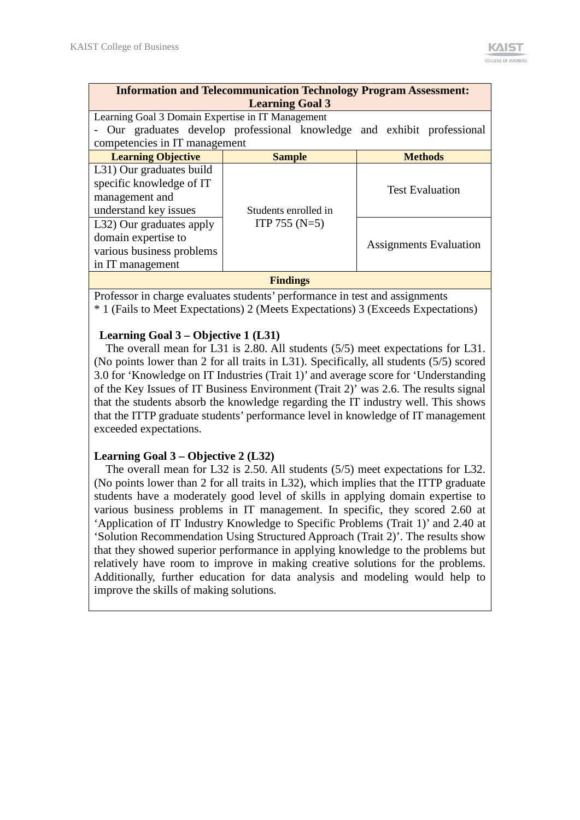| <b>Information and Telecommunication Technology Program Assessment:</b> |                                                   |  |  |  |                               |  |  |
|-------------------------------------------------------------------------|---------------------------------------------------|--|--|--|-------------------------------|--|--|
| <b>Learning Goal 3</b>                                                  |                                                   |  |  |  |                               |  |  |
|                                                                         | Learning Goal 3 Domain Expertise in IT Management |  |  |  |                               |  |  |
| - Our graduates develop professional knowledge and exhibit professional |                                                   |  |  |  |                               |  |  |
| competencies in IT management                                           |                                                   |  |  |  |                               |  |  |
| <b>Learning Objective</b>                                               | <b>Sample</b>                                     |  |  |  | <b>Methods</b>                |  |  |
| L31) Our graduates build                                                |                                                   |  |  |  |                               |  |  |
| specific knowledge of IT                                                |                                                   |  |  |  |                               |  |  |
| <b>Test Evaluation</b><br>management and                                |                                                   |  |  |  |                               |  |  |
| understand key issues                                                   | Students enrolled in                              |  |  |  |                               |  |  |
| L32) Our graduates apply                                                | ITP 755 $(N=5)$                                   |  |  |  |                               |  |  |
| domain expertise to                                                     |                                                   |  |  |  |                               |  |  |
| various business problems                                               |                                                   |  |  |  | <b>Assignments Evaluation</b> |  |  |
| in IT management                                                        |                                                   |  |  |  |                               |  |  |
|                                                                         | <b>Findings</b>                                   |  |  |  |                               |  |  |

Professor in charge evaluates students' performance in test and assignments \* 1 (Fails to Meet Expectations) 2 (Meets Expectations) 3 (Exceeds Expectations)

#### **Learning Goal 3 – Objective 1 (L31)**

 The overall mean for L31 is 2.80. All students (5/5) meet expectations for L31. (No points lower than 2 for all traits in L31). Specifically, all students (5/5) scored 3.0 for 'Knowledge on IT Industries (Trait 1)' and average score for 'Understanding of the Key Issues of IT Business Environment (Trait 2)' was 2.6. The results signal that the students absorb the knowledge regarding the IT industry well. This shows that the ITTP graduate students' performance level in knowledge of IT management exceeded expectations.

## **Learning Goal 3 – Objective 2 (L32)**

The overall mean for L32 is 2.50. All students (5/5) meet expectations for L32. (No points lower than 2 for all traits in L32), which implies that the ITTP graduate students have a moderately good level of skills in applying domain expertise to various business problems in IT management. In specific, they scored 2.60 at 'Application of IT Industry Knowledge to Specific Problems (Trait 1)' and 2.40 at 'Solution Recommendation Using Structured Approach (Trait 2)'. The results show that they showed superior performance in applying knowledge to the problems but relatively have room to improve in making creative solutions for the problems. Additionally, further education for data analysis and modeling would help to improve the skills of making solutions.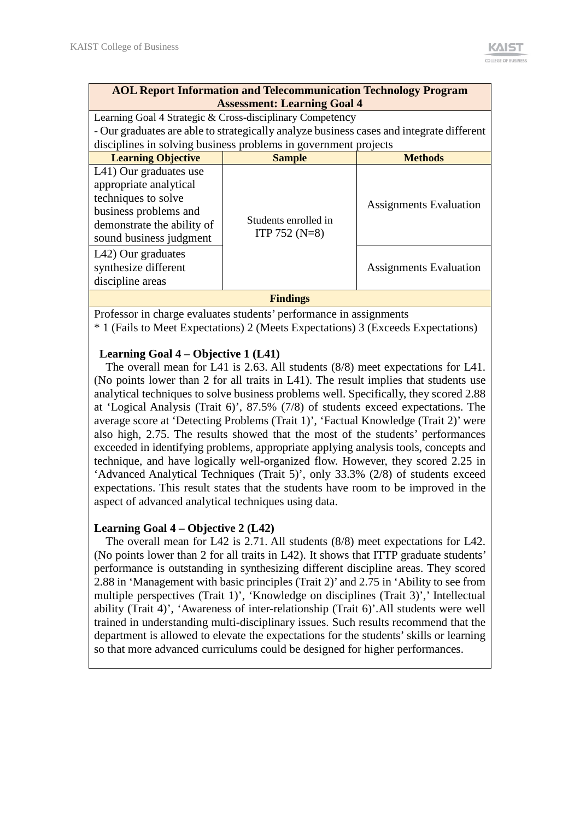## **AOL Report Information and Telecommunication Technology Program Assessment: Learning Goal 4**

Learning Goal 4 Strategic & Cross-disciplinary Competency - Our graduates are able to strategically analyze business cases and integrate different disciplines in solving business problems in government projects

| <b>Learning Objective</b>                                                                                                                                 | <b>Sample</b>                           | <b>Methods</b>                |  |  |  |
|-----------------------------------------------------------------------------------------------------------------------------------------------------------|-----------------------------------------|-------------------------------|--|--|--|
| L41) Our graduates use<br>appropriate analytical<br>techniques to solve<br>business problems and<br>demonstrate the ability of<br>sound business judgment | Students enrolled in<br>ITP 752 $(N=8)$ | <b>Assignments Evaluation</b> |  |  |  |
| L42) Our graduates<br>synthesize different<br>discipline areas                                                                                            |                                         | <b>Assignments Evaluation</b> |  |  |  |
| <b>Findings</b>                                                                                                                                           |                                         |                               |  |  |  |

Professor in charge evaluates students' performance in assignments

\* 1 (Fails to Meet Expectations) 2 (Meets Expectations) 3 (Exceeds Expectations)

## **Learning Goal 4 – Objective 1 (L41)**

The overall mean for L41 is 2.63. All students (8/8) meet expectations for L41. (No points lower than 2 for all traits in L41). The result implies that students use analytical techniques to solve business problems well. Specifically, they scored 2.88 at 'Logical Analysis (Trait 6)', 87.5% (7/8) of students exceed expectations. The average score at 'Detecting Problems (Trait 1)', 'Factual Knowledge (Trait 2)' were also high, 2.75. The results showed that the most of the students' performances exceeded in identifying problems, appropriate applying analysis tools, concepts and technique, and have logically well-organized flow. However, they scored 2.25 in 'Advanced Analytical Techniques (Trait 5)', only 33.3% (2/8) of students exceed expectations. This result states that the students have room to be improved in the aspect of advanced analytical techniques using data.

## **Learning Goal 4 – Objective 2 (L42)**

The overall mean for L42 is 2.71. All students (8/8) meet expectations for L42. (No points lower than 2 for all traits in L42). It shows that ITTP graduate students' performance is outstanding in synthesizing different discipline areas. They scored 2.88 in 'Management with basic principles (Trait 2)' and 2.75 in 'Ability to see from multiple perspectives (Trait 1)', 'Knowledge on disciplines (Trait 3)',' Intellectual ability (Trait 4)', 'Awareness of inter-relationship (Trait 6)'.All students were well trained in understanding multi-disciplinary issues. Such results recommend that the department is allowed to elevate the expectations for the students' skills or learning so that more advanced curriculums could be designed for higher performances.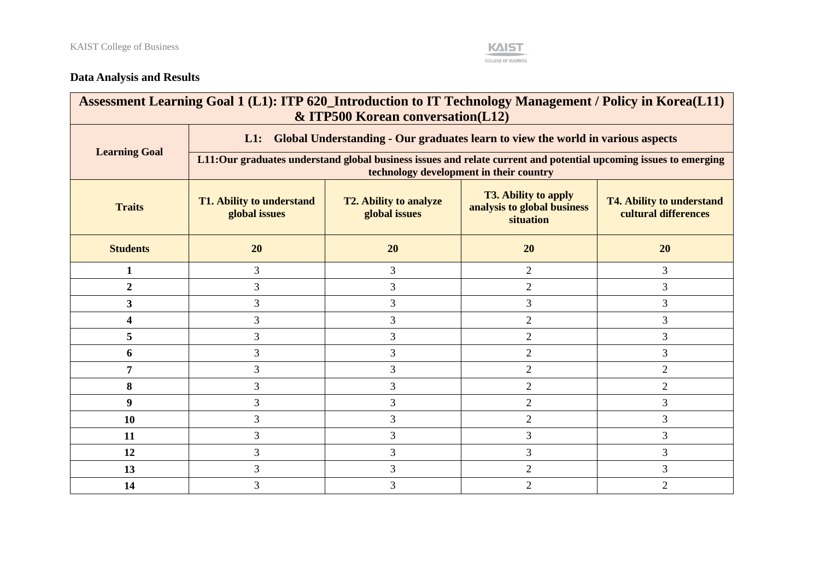

## **Data Analysis and Results**

| Assessment Learning Goal 1 (L1): ITP 620_Introduction to IT Technology Management / Policy in Korea (L11)<br>& ITP500 Korean conversation(L12) |                                                                                           |                                                                                                                                                                                       |                |                |  |  |  |
|------------------------------------------------------------------------------------------------------------------------------------------------|-------------------------------------------------------------------------------------------|---------------------------------------------------------------------------------------------------------------------------------------------------------------------------------------|----------------|----------------|--|--|--|
|                                                                                                                                                | Global Understanding - Our graduates learn to view the world in various aspects<br>$L1$ : |                                                                                                                                                                                       |                |                |  |  |  |
| <b>Learning Goal</b>                                                                                                                           |                                                                                           | L11:Our graduates understand global business issues and relate current and potential upcoming issues to emerging<br>technology development in their country                           |                |                |  |  |  |
| <b>Traits</b>                                                                                                                                  | <b>T1. Ability to understand</b><br>global issues                                         | <b>T3. Ability to apply</b><br><b>T2. Ability to analyze</b><br><b>T4. Ability to understand</b><br>analysis to global business<br>cultural differences<br>global issues<br>situation |                |                |  |  |  |
| <b>Students</b>                                                                                                                                | 20                                                                                        | 20                                                                                                                                                                                    | 20             | 20             |  |  |  |
| 1                                                                                                                                              | 3                                                                                         | 3                                                                                                                                                                                     | 2              | 3              |  |  |  |
| $\overline{2}$                                                                                                                                 | 3                                                                                         | $\mathfrak{Z}$                                                                                                                                                                        | $\overline{2}$ | 3              |  |  |  |
| 3                                                                                                                                              | 3                                                                                         | 3                                                                                                                                                                                     | 3              | 3              |  |  |  |
| 4                                                                                                                                              | 3                                                                                         | $\mathfrak{Z}$                                                                                                                                                                        | $\mathbf{2}$   | 3              |  |  |  |
| 5                                                                                                                                              | 3                                                                                         | 3                                                                                                                                                                                     | 2              | 3              |  |  |  |
| 6                                                                                                                                              | 3                                                                                         | 3                                                                                                                                                                                     | $\overline{2}$ | 3              |  |  |  |
| 7                                                                                                                                              | 3                                                                                         | 3                                                                                                                                                                                     | $\overline{2}$ | $\overline{2}$ |  |  |  |
| 8                                                                                                                                              | 3                                                                                         | 3                                                                                                                                                                                     | $\overline{2}$ | $\overline{2}$ |  |  |  |
| 9                                                                                                                                              | 3                                                                                         | $\mathfrak{Z}$                                                                                                                                                                        | $\overline{2}$ | 3              |  |  |  |
| 10                                                                                                                                             | 3                                                                                         | 3                                                                                                                                                                                     | $\overline{2}$ | 3              |  |  |  |
| 11                                                                                                                                             | 3                                                                                         | $\mathfrak{Z}$                                                                                                                                                                        | 3              | 3              |  |  |  |
| 12                                                                                                                                             | 3                                                                                         | $\mathfrak{Z}$                                                                                                                                                                        | $\overline{3}$ | 3              |  |  |  |
| 13                                                                                                                                             | 3                                                                                         | 3                                                                                                                                                                                     | $\overline{2}$ | $\overline{3}$ |  |  |  |
| 14                                                                                                                                             | 3                                                                                         | $\mathfrak{Z}$                                                                                                                                                                        | $\overline{2}$ | $\overline{2}$ |  |  |  |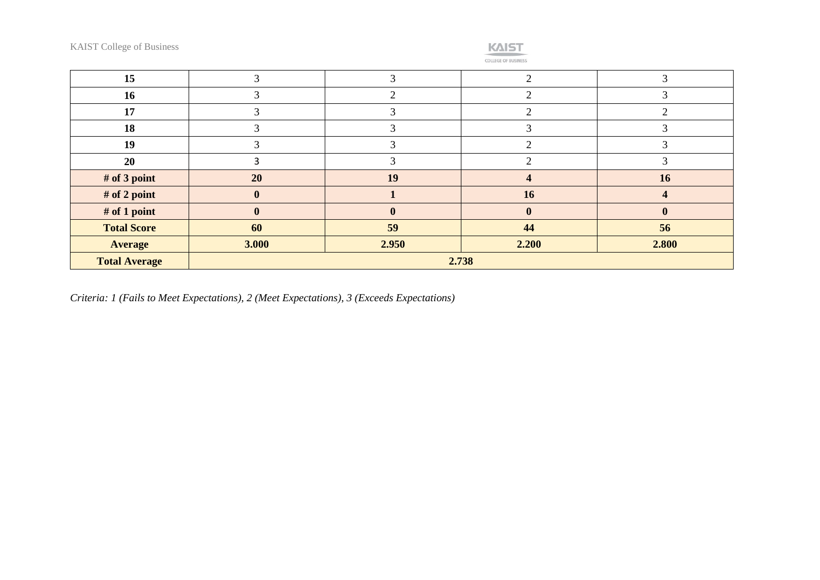KAIST College of Business



| 15                   |          |          | ⌒        |       |
|----------------------|----------|----------|----------|-------|
| 16                   |          |          | ⌒        |       |
| 17                   |          |          |          |       |
| 18                   |          |          |          |       |
| 19                   |          |          |          |       |
| 20                   |          |          | ◠        |       |
| # of 3 point         | 20       | 19       |          | 16    |
| # of 2 point         |          |          | 16       |       |
| # of 1 point         | $\bf{0}$ | $\bf{0}$ | $\bf{0}$ |       |
| <b>Total Score</b>   | 60       | 59       | 44       | 56    |
| <b>Average</b>       | 3.000    | 2.950    | 2.200    | 2.800 |
| <b>Total Average</b> | 2.738    |          |          |       |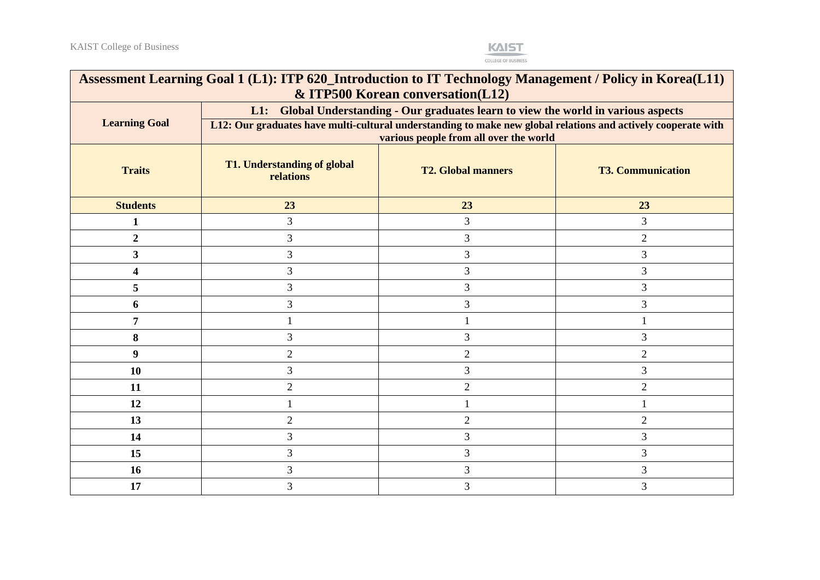

| Assessment Learning Goal 1 (L1): ITP 620_Introduction to IT Technology Management / Policy in Korea(L11)<br>& ITP500 Korean conversation(L12) |                                                                                                                                                                                                                                                |                |                |  |  |
|-----------------------------------------------------------------------------------------------------------------------------------------------|------------------------------------------------------------------------------------------------------------------------------------------------------------------------------------------------------------------------------------------------|----------------|----------------|--|--|
| <b>Learning Goal</b>                                                                                                                          | L1: Global Understanding - Our graduates learn to view the world in various aspects<br>L12: Our graduates have multi-cultural understanding to make new global relations and actively cooperate with<br>various people from all over the world |                |                |  |  |
| <b>Traits</b>                                                                                                                                 | <b>T1. Understanding of global</b><br><b>T2. Global manners</b><br><b>T3. Communication</b><br>relations                                                                                                                                       |                |                |  |  |
| <b>Students</b>                                                                                                                               | 23                                                                                                                                                                                                                                             | 23             | 23             |  |  |
| 1                                                                                                                                             | 3                                                                                                                                                                                                                                              | 3              | 3              |  |  |
| $\overline{2}$                                                                                                                                | 3                                                                                                                                                                                                                                              | 3              | $\overline{2}$ |  |  |
| $\mathbf{3}$                                                                                                                                  | 3                                                                                                                                                                                                                                              | 3              | 3              |  |  |
| 4                                                                                                                                             | 3                                                                                                                                                                                                                                              | 3              | 3              |  |  |
| 5                                                                                                                                             | 3                                                                                                                                                                                                                                              | 3              | 3              |  |  |
| 6                                                                                                                                             | 3                                                                                                                                                                                                                                              | 3              | 3              |  |  |
| 7                                                                                                                                             |                                                                                                                                                                                                                                                |                |                |  |  |
| 8                                                                                                                                             | 3                                                                                                                                                                                                                                              | 3              | 3              |  |  |
| 9                                                                                                                                             | $\overline{2}$                                                                                                                                                                                                                                 | $\overline{2}$ | $\overline{2}$ |  |  |
| 10                                                                                                                                            | 3                                                                                                                                                                                                                                              | 3              | 3              |  |  |
| 11                                                                                                                                            | $\overline{2}$                                                                                                                                                                                                                                 | $\overline{2}$ | $\overline{2}$ |  |  |
| 12                                                                                                                                            |                                                                                                                                                                                                                                                |                |                |  |  |
| 13                                                                                                                                            | $\overline{2}$                                                                                                                                                                                                                                 | $\overline{2}$ | $\overline{2}$ |  |  |
| 14                                                                                                                                            | 3                                                                                                                                                                                                                                              | 3              | 3              |  |  |
| 15                                                                                                                                            | 3                                                                                                                                                                                                                                              | 3              | 3              |  |  |
| 16                                                                                                                                            | 3                                                                                                                                                                                                                                              | 3              | 3              |  |  |
| 17                                                                                                                                            | 3                                                                                                                                                                                                                                              | 3              | 3              |  |  |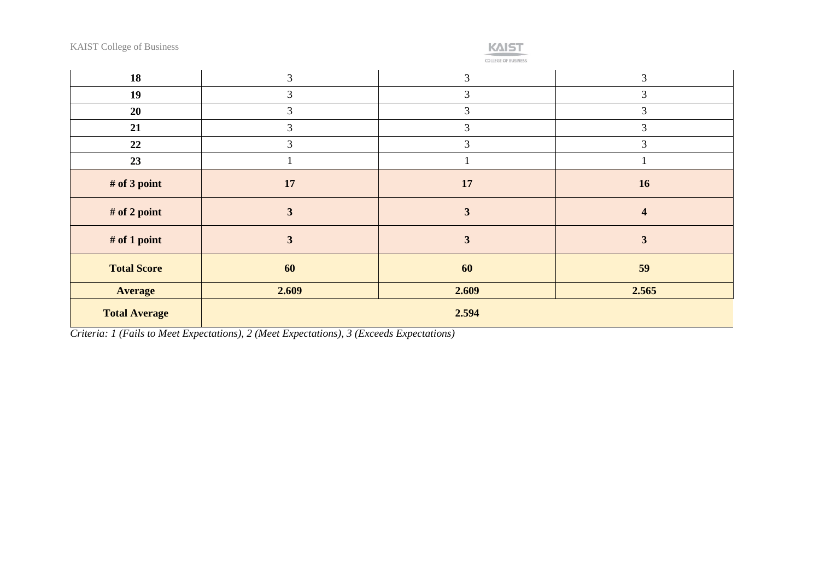KAIST College of Business

## **KAIST**

COLLEGE OF BUSINESS

| 18                   | 3                       | 3                       | 3                       |
|----------------------|-------------------------|-------------------------|-------------------------|
| 19                   | 3                       | 3                       | 3                       |
| 20                   | 3                       | 3                       | 3                       |
| 21                   | 3                       | 3                       | 3                       |
| 22                   | 3                       | 3                       | 3                       |
| 23                   |                         |                         |                         |
| # of 3 point         | 17                      | 17                      | 16                      |
| # of 2 point         | $\overline{\mathbf{3}}$ | $\overline{\mathbf{3}}$ | $\overline{\mathbf{4}}$ |
| # of 1 point         | 3                       | $\overline{\mathbf{3}}$ | 3                       |
| <b>Total Score</b>   | 60                      | 60                      | 59                      |
| <b>Average</b>       | 2.609                   | 2.609                   | 2.565                   |
| <b>Total Average</b> |                         | 2.594                   |                         |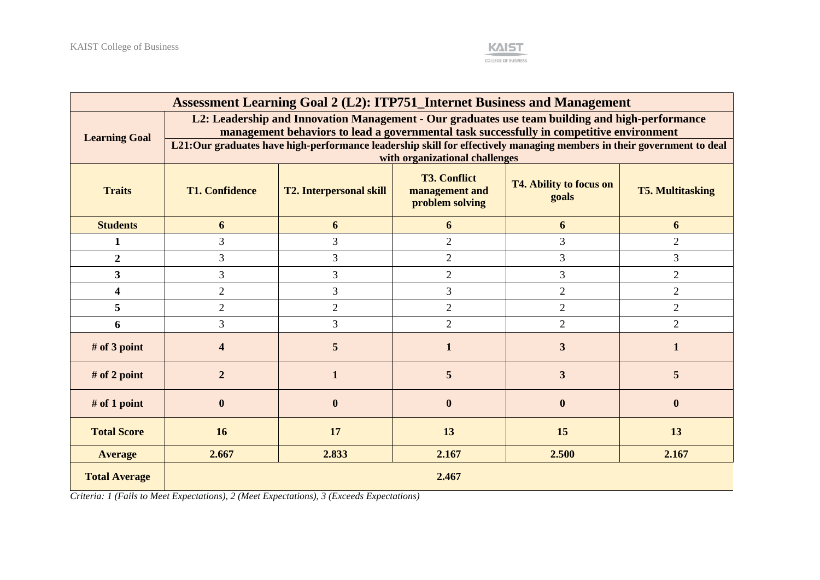

| Assessment Learning Goal 2 (L2): ITP751_Internet Business and Management |                                                                                                                                                                                             |                                                                                                                       |                                |                |                |  |
|--------------------------------------------------------------------------|---------------------------------------------------------------------------------------------------------------------------------------------------------------------------------------------|-----------------------------------------------------------------------------------------------------------------------|--------------------------------|----------------|----------------|--|
| <b>Learning Goal</b>                                                     | L2: Leadership and Innovation Management - Our graduates use team building and high-performance<br>management behaviors to lead a governmental task successfully in competitive environment |                                                                                                                       |                                |                |                |  |
|                                                                          |                                                                                                                                                                                             | L21:Our graduates have high-performance leadership skill for effectively managing members in their government to deal | with organizational challenges |                |                |  |
| <b>Traits</b>                                                            | <b>T3. Conflict</b><br><b>T4. Ability to focus on</b><br><b>T1. Confidence</b><br><b>T2. Interpersonal skill</b><br><b>T5. Multitasking</b><br>management and<br>goals<br>problem solving   |                                                                                                                       |                                |                |                |  |
| <b>Students</b>                                                          | 6                                                                                                                                                                                           | 6                                                                                                                     | 6                              | 6              | 6              |  |
| $\mathbf{1}$                                                             | 3                                                                                                                                                                                           | 3                                                                                                                     | $\overline{2}$                 | 3              | $\overline{2}$ |  |
| $\overline{2}$                                                           | 3                                                                                                                                                                                           | 3                                                                                                                     | $\overline{2}$                 | 3              | $\overline{3}$ |  |
| 3                                                                        | 3                                                                                                                                                                                           | 3                                                                                                                     | $\overline{2}$                 | 3              | $\overline{2}$ |  |
| $\overline{\mathbf{4}}$                                                  | $\overline{2}$                                                                                                                                                                              | $\overline{3}$                                                                                                        | 3                              | $\overline{2}$ | $\overline{2}$ |  |
| 5                                                                        | $\overline{2}$                                                                                                                                                                              | $\overline{2}$                                                                                                        | $\overline{2}$                 | $\overline{2}$ | $\overline{2}$ |  |
| 6                                                                        | 3                                                                                                                                                                                           | $\overline{3}$                                                                                                        | $\overline{2}$                 | $\overline{2}$ | $\overline{2}$ |  |
| # of 3 point                                                             | 4                                                                                                                                                                                           | 5                                                                                                                     | 1                              | 3              | 1              |  |
| # of 2 point                                                             | $\overline{2}$                                                                                                                                                                              | $\mathbf{1}$                                                                                                          | 5                              | $\overline{3}$ | 5              |  |
| $#$ of 1 point                                                           | $\bf{0}$                                                                                                                                                                                    | $\bf{0}$                                                                                                              | $\boldsymbol{0}$               | $\bf{0}$       | $\mathbf{0}$   |  |
| <b>Total Score</b>                                                       | 16                                                                                                                                                                                          | 17                                                                                                                    | 13                             | 15             | 13             |  |
| <b>Average</b>                                                           | 2.667                                                                                                                                                                                       | 2.833                                                                                                                 | 2.167                          | 2.500          | 2.167          |  |
| <b>Total Average</b>                                                     | 2.467                                                                                                                                                                                       |                                                                                                                       |                                |                |                |  |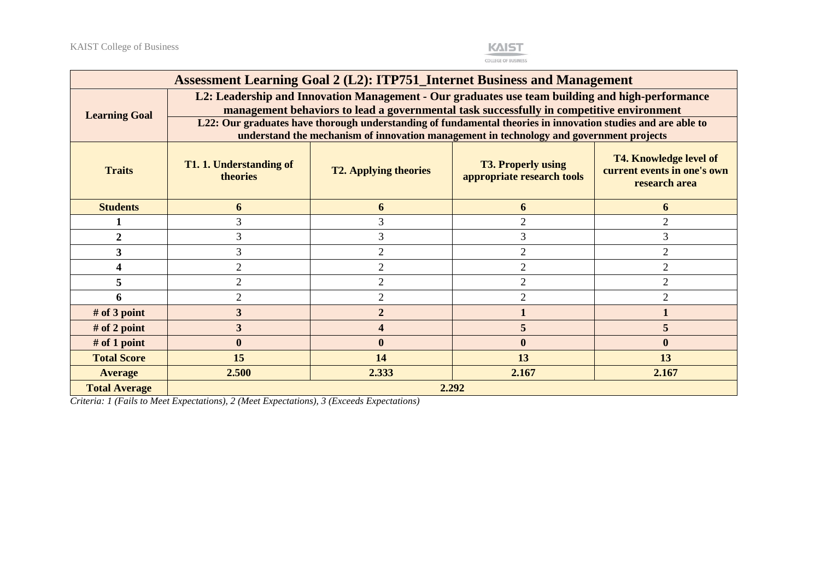

| Assessment Learning Goal 2 (L2): ITP751_Internet Business and Management |                                                                                                                                                                                                                                                                                                                                                                                                        |                |                |                  |  |  |
|--------------------------------------------------------------------------|--------------------------------------------------------------------------------------------------------------------------------------------------------------------------------------------------------------------------------------------------------------------------------------------------------------------------------------------------------------------------------------------------------|----------------|----------------|------------------|--|--|
| <b>Learning Goal</b>                                                     | L2: Leadership and Innovation Management - Our graduates use team building and high-performance<br>management behaviors to lead a governmental task successfully in competitive environment<br>L22: Our graduates have thorough understanding of fundamental theories in innovation studies and are able to<br>understand the mechanism of innovation management in technology and government projects |                |                |                  |  |  |
| <b>Traits</b>                                                            | <b>T4. Knowledge level of</b><br><b>T3. Properly using</b><br>T1. 1. Understanding of<br>current events in one's own<br><b>T2. Applying theories</b><br>theories<br>appropriate research tools<br>research area                                                                                                                                                                                        |                |                |                  |  |  |
| <b>Students</b>                                                          | 6                                                                                                                                                                                                                                                                                                                                                                                                      | 6              | 6              | 6                |  |  |
|                                                                          |                                                                                                                                                                                                                                                                                                                                                                                                        |                | $\overline{2}$ | $\overline{2}$   |  |  |
| $\mathfrak{D}$                                                           |                                                                                                                                                                                                                                                                                                                                                                                                        |                | 3              | 3                |  |  |
| 3                                                                        | 3                                                                                                                                                                                                                                                                                                                                                                                                      | $\overline{2}$ | $\overline{2}$ | $\overline{2}$   |  |  |
|                                                                          | $\overline{2}$                                                                                                                                                                                                                                                                                                                                                                                         | $\overline{2}$ | $\overline{2}$ | $\overline{2}$   |  |  |
| 5                                                                        | $\overline{2}$                                                                                                                                                                                                                                                                                                                                                                                         | $\overline{2}$ | $\overline{2}$ | $\overline{2}$   |  |  |
|                                                                          | $\mathfrak{D}$                                                                                                                                                                                                                                                                                                                                                                                         | $\overline{2}$ | $\overline{2}$ | $\mathfrak{D}$   |  |  |
| $#$ of 3 point                                                           | $\overline{3}$                                                                                                                                                                                                                                                                                                                                                                                         | $\overline{2}$ |                |                  |  |  |
| $#$ of 2 point                                                           | 3                                                                                                                                                                                                                                                                                                                                                                                                      |                | 5              | 5                |  |  |
| $#$ of 1 point                                                           | $\bf{0}$                                                                                                                                                                                                                                                                                                                                                                                               | $\mathbf{0}$   | $\mathbf{0}$   | $\boldsymbol{0}$ |  |  |
| <b>Total Score</b>                                                       | 15<br>14<br>13<br>13                                                                                                                                                                                                                                                                                                                                                                                   |                |                |                  |  |  |
| <b>Average</b>                                                           | 2.333<br>2.167<br>2.500<br>2.167                                                                                                                                                                                                                                                                                                                                                                       |                |                |                  |  |  |
| <b>Total Average</b>                                                     | 2.292                                                                                                                                                                                                                                                                                                                                                                                                  |                |                |                  |  |  |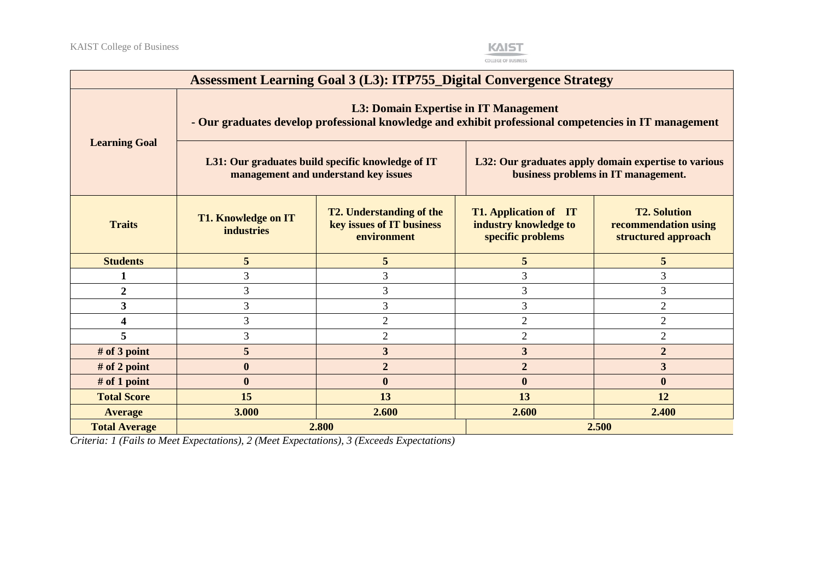

| <b>Assessment Learning Goal 3 (L3): ITP755_Digital Convergence Strategy</b>                                                                    |                                                                                           |                                                                             |                                                                                             |                                                                    |  |
|------------------------------------------------------------------------------------------------------------------------------------------------|-------------------------------------------------------------------------------------------|-----------------------------------------------------------------------------|---------------------------------------------------------------------------------------------|--------------------------------------------------------------------|--|
| L3: Domain Expertise in IT Management<br>- Our graduates develop professional knowledge and exhibit professional competencies in IT management |                                                                                           |                                                                             |                                                                                             |                                                                    |  |
| <b>Learning Goal</b>                                                                                                                           | L31: Our graduates build specific knowledge of IT<br>management and understand key issues |                                                                             | L32: Our graduates apply domain expertise to various<br>business problems in IT management. |                                                                    |  |
| <b>Traits</b>                                                                                                                                  | <b>T1. Knowledge on IT</b><br><b>industries</b>                                           | <b>T2. Understanding of the</b><br>key issues of IT business<br>environment | <b>T1. Application of</b> IT<br>industry knowledge to<br>specific problems                  | <b>T2. Solution</b><br>recommendation using<br>structured approach |  |
| <b>Students</b>                                                                                                                                | 5                                                                                         | 5                                                                           | 5                                                                                           | 5                                                                  |  |
|                                                                                                                                                | 3                                                                                         | 3                                                                           | 3                                                                                           | 3                                                                  |  |
| $\boldsymbol{2}$                                                                                                                               | 3                                                                                         | 3                                                                           | 3                                                                                           | 3                                                                  |  |
| $\overline{\mathbf{3}}$                                                                                                                        | 3                                                                                         | 3                                                                           | 3                                                                                           | $\overline{2}$                                                     |  |
| 4                                                                                                                                              | 3                                                                                         | $\overline{2}$                                                              | $\overline{2}$                                                                              | $\overline{2}$                                                     |  |
| 5                                                                                                                                              | 3                                                                                         | $\overline{2}$                                                              | $\overline{2}$                                                                              | $\overline{2}$                                                     |  |
| # of 3 point                                                                                                                                   | 5                                                                                         | 3                                                                           | $\overline{\mathbf{3}}$                                                                     | $\overline{2}$                                                     |  |
| # of 2 point                                                                                                                                   | $\boldsymbol{0}$                                                                          | $\overline{2}$                                                              | $\overline{2}$                                                                              | $\mathbf{3}$                                                       |  |
| # of 1 point                                                                                                                                   | $\bf{0}$                                                                                  | $\boldsymbol{0}$                                                            | $\boldsymbol{0}$                                                                            | $\boldsymbol{0}$                                                   |  |
| <b>Total Score</b>                                                                                                                             | 15<br>13<br>13<br>12                                                                      |                                                                             |                                                                                             |                                                                    |  |
| <b>Average</b>                                                                                                                                 | 3.000                                                                                     | 2.600                                                                       | 2.600                                                                                       | 2.400                                                              |  |
| <b>Total Average</b>                                                                                                                           | 2.800<br>2.500                                                                            |                                                                             |                                                                                             |                                                                    |  |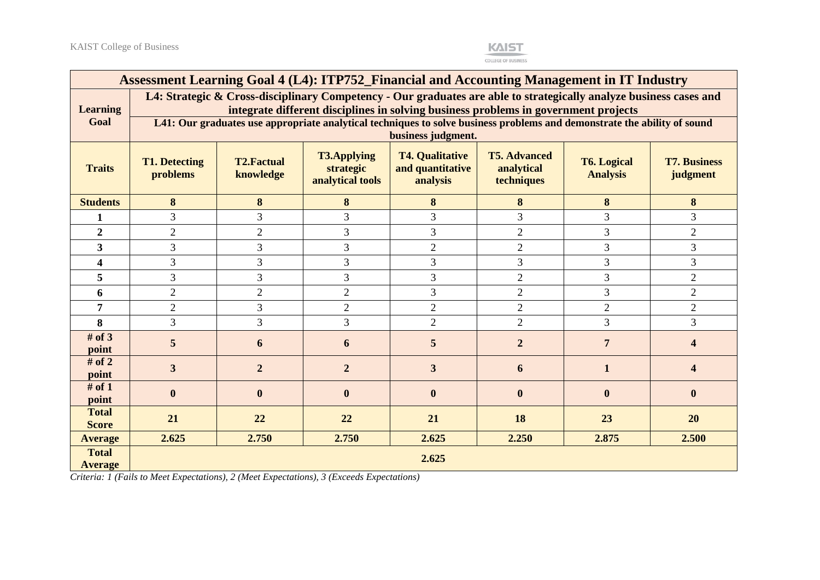

| Assessment Learning Goal 4 (L4): ITP752_Financial and Accounting Management in IT Industry |                                                                                                                                                                                                           |                                |                                                     |                                                        |                                                 |                                       |                                 |  |  |  |  |
|--------------------------------------------------------------------------------------------|-----------------------------------------------------------------------------------------------------------------------------------------------------------------------------------------------------------|--------------------------------|-----------------------------------------------------|--------------------------------------------------------|-------------------------------------------------|---------------------------------------|---------------------------------|--|--|--|--|
| <b>Learning</b>                                                                            | L4: Strategic & Cross-disciplinary Competency - Our graduates are able to strategically analyze business cases and<br>integrate different disciplines in solving business problems in government projects |                                |                                                     |                                                        |                                                 |                                       |                                 |  |  |  |  |
| Goal                                                                                       | L41: Our graduates use appropriate analytical techniques to solve business problems and demonstrate the ability of sound<br>business judgment.                                                            |                                |                                                     |                                                        |                                                 |                                       |                                 |  |  |  |  |
| <b>Traits</b>                                                                              | <b>T1. Detecting</b><br>problems                                                                                                                                                                          | <b>T2.Factual</b><br>knowledge | <b>T3.Applying</b><br>strategic<br>analytical tools | <b>T4. Qualitative</b><br>and quantitative<br>analysis | <b>T5. Advanced</b><br>analytical<br>techniques | <b>T6. Logical</b><br><b>Analysis</b> | <b>T7. Business</b><br>judgment |  |  |  |  |
| <b>Students</b>                                                                            | 8                                                                                                                                                                                                         | 8                              | 8                                                   | 8                                                      | 8                                               | 8                                     | 8                               |  |  |  |  |
| 1                                                                                          | 3                                                                                                                                                                                                         | 3                              | 3                                                   | 3                                                      | 3                                               | 3                                     | 3                               |  |  |  |  |
| $\overline{2}$                                                                             | $\overline{2}$                                                                                                                                                                                            | $\overline{2}$                 | 3                                                   | 3                                                      | $\mathbf{2}$                                    | 3                                     | $\overline{2}$                  |  |  |  |  |
| 3                                                                                          | 3                                                                                                                                                                                                         | 3                              | 3                                                   | $\overline{2}$                                         | $\overline{2}$                                  | 3                                     | 3                               |  |  |  |  |
| $\overline{\mathbf{4}}$                                                                    | 3                                                                                                                                                                                                         | 3                              | 3                                                   | 3                                                      | $\overline{3}$                                  | 3                                     | 3                               |  |  |  |  |
| 5                                                                                          | 3                                                                                                                                                                                                         | 3                              | $\overline{3}$                                      | 3                                                      | $\overline{2}$                                  | 3                                     | $\overline{2}$                  |  |  |  |  |
| 6                                                                                          | $\overline{2}$                                                                                                                                                                                            | $\overline{2}$                 | $\overline{2}$                                      | 3                                                      | $\overline{2}$                                  | 3                                     | $\overline{2}$                  |  |  |  |  |
| 7                                                                                          | $\overline{2}$                                                                                                                                                                                            | 3                              | $\overline{2}$                                      | $\overline{2}$                                         | $\overline{2}$                                  | $\overline{2}$                        | $\overline{2}$                  |  |  |  |  |
| 8                                                                                          | 3                                                                                                                                                                                                         | 3                              | $\overline{3}$                                      | $\overline{2}$                                         | $\overline{2}$                                  | 3                                     | 3                               |  |  |  |  |
| # of $3$<br>point                                                                          | 5                                                                                                                                                                                                         | 6                              | 6                                                   | 5                                                      | $\overline{2}$                                  | $\overline{7}$                        | 4                               |  |  |  |  |
| # of $2$<br>point                                                                          | 3                                                                                                                                                                                                         | $\overline{2}$                 | $\overline{2}$                                      | 3                                                      | 6                                               | 1                                     | $\boldsymbol{\Delta}$           |  |  |  |  |
| # of $1$<br>point                                                                          | $\mathbf{0}$                                                                                                                                                                                              | $\boldsymbol{0}$               | $\mathbf{0}$                                        | $\mathbf{0}$                                           | $\mathbf{0}$                                    | $\mathbf{0}$                          | $\mathbf{0}$                    |  |  |  |  |
| <b>Total</b><br><b>Score</b>                                                               | 21                                                                                                                                                                                                        | 22                             | 22                                                  | 21                                                     | 18                                              | 23                                    | 20                              |  |  |  |  |
| <b>Average</b>                                                                             | 2.625                                                                                                                                                                                                     | 2.750                          | 2.750                                               | 2.625                                                  | 2.250                                           | 2.875                                 | 2.500                           |  |  |  |  |
| <b>Total</b><br><b>Average</b>                                                             | 2.625                                                                                                                                                                                                     |                                |                                                     |                                                        |                                                 |                                       |                                 |  |  |  |  |